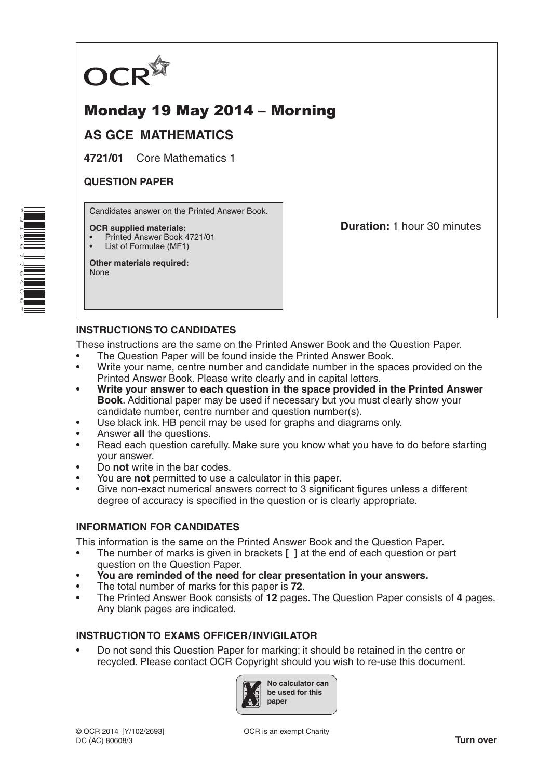

# Monday 19 May 2014 – Morning

## **AS GCE MATHEMATICS**

**4721/01** Core Mathematics 1

### **QUESTION PAPER**

Candidates answer on the Printed Answer Book.

#### **OCR supplied materials:**

- Printed Answer Book 4721/01
- List of Formulae (MF1)

**Other materials required:** None

**Duration:** 1 hour 30 minutes

### **INSTRUCTIONS TO CANDIDATES**

These instructions are the same on the Printed Answer Book and the Question Paper.

- The Question Paper will be found inside the Printed Answer Book.
- Write your name, centre number and candidate number in the spaces provided on the Printed Answer Book. Please write clearly and in capital letters.
- **Write your answer to each question in the space provided in the Printed Answer Book**. Additional paper may be used if necessary but you must clearly show your candidate number, centre number and question number(s).
- Use black ink. HB pencil may be used for graphs and diagrams only.
- Answer **all** the questions.
- Read each question carefully. Make sure you know what you have to do before starting your answer.
- Do **not** write in the bar codes.
- You are **not** permitted to use a calculator in this paper.
- Give non-exact numerical answers correct to 3 significant figures unless a different degree of accuracy is specified in the question or is clearly appropriate.

#### **INFORMATION FOR CANDIDATES**

This information is the same on the Printed Answer Book and the Question Paper.

- The number of marks is given in brackets **[ ]** at the end of each question or part question on the Question Paper.
- **You are reminded of the need for clear presentation in your answers.**
- The total number of marks for this paper is **72**.
- The Printed Answer Book consists of **12** pages. The Question Paper consists of **4** pages. Any blank pages are indicated.

#### **INSTRUCTION TO EXAMS OFFICER/INVIGILATOR**

• Do not send this Question Paper for marking; it should be retained in the centre or recycled. Please contact OCR Copyright should you wish to re-use this document.



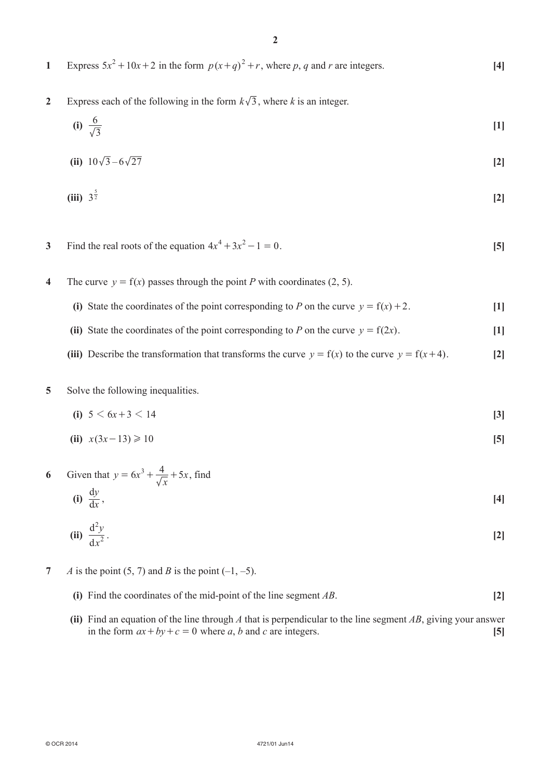- **1** Express  $5x^2 + 10x + 2$  in the form  $p(x+q)^2 + r$ , where p, q and r are integers. **[4]**
- **2** Express each of the following in the form  $k\sqrt{3}$ , where *k* is an integer.

(i) 
$$
\frac{6}{\sqrt{3}}
$$
 [1]

(ii) 
$$
10\sqrt{3} - 6\sqrt{27}
$$
 [2]

(iii) 
$$
3^{\frac{5}{2}}
$$
 [2]

**3** Find the real roots of the equation  $4x^4 + 3x^2 - 1 = 0$ . [5]

- **4** The curve  $y = f(x)$  passes through the point *P* with coordinates (2, 5).
	- **(i)** State the coordinates of the point corresponding to *P* on the curve  $y = f(x) + 2$ . [1]
	- (ii) State the coordinates of the point corresponding to *P* on the curve  $y = f(2x)$ . [1]
	- **(iii)** Describe the transformation that transforms the curve  $y = f(x)$  to the curve  $y = f(x+4)$ . [2]
- **5** Solve the following inequalities.

(i) 
$$
5 < 6x + 3 < 14
$$
 [3]

(ii) 
$$
x(3x-13) \ge 10
$$
 [5]

**6** Given that  $y = 6x^3 + \frac{4}{\sqrt{x}} + 5x$ , find **(i)**  $\frac{dy}{dx}$ d  $\frac{dy}{dx}$ , [4]

$$
(ii) \frac{d^2y}{dx^2}.
$$

- **7** *A* is the point  $(5, 7)$  and *B* is the point  $(-1, -5)$ .
	- **(i)** Find the coordinates of the mid-point of the line segment *AB*.  $[2]$
	- **(ii)** Find an equation of the line through *A* that is perpendicular to the line segment *AB*, giving your answer in the form  $ax + by + c = 0$  where *a*, *b* and *c* are integers. [5]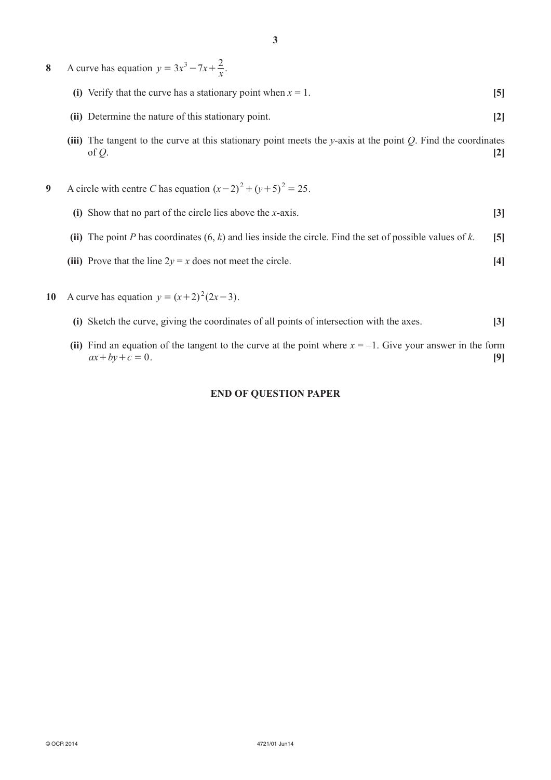- **8** A curve has equation  $y = 3x^3 7x + \frac{2}{x}$ .
	- **(i)** Verify that the curve has a stationary point when  $x = 1$ . **[5]**
	- **(ii)** Determine the nature of this stationary point. **[2]**
	- **(iii)** The tangent to the curve at this stationary point meets the *y*-axis at the point *Q*. Find the coordinates of  $Q$ .  $[2]$
- **9** A circle with centre *C* has equation  $(x-2)^2 + (y+5)^2 = 25$ .
	- **(i)** Show that no part of the circle lies above the *x*-axis. **[3]**
	- **(ii)** The point *P* has coordinates  $(6, k)$  and lies inside the circle. Find the set of possible values of *k*. [5]
	- **(iii)** Prove that the line  $2y = x$  does not meet the circle. **[4]**
- **10** A curve has equation  $y = (x+2)^2(2x-3)$ .
	- **(i)** Sketch the curve, giving the coordinates of all points of intersection with the axes. **[3]**
	- **(ii)** Find an equation of the tangent to the curve at the point where  $x = -1$ . Give your answer in the form  $ax + by + c = 0.$  [9]

#### **END OF QUESTION PAPER**